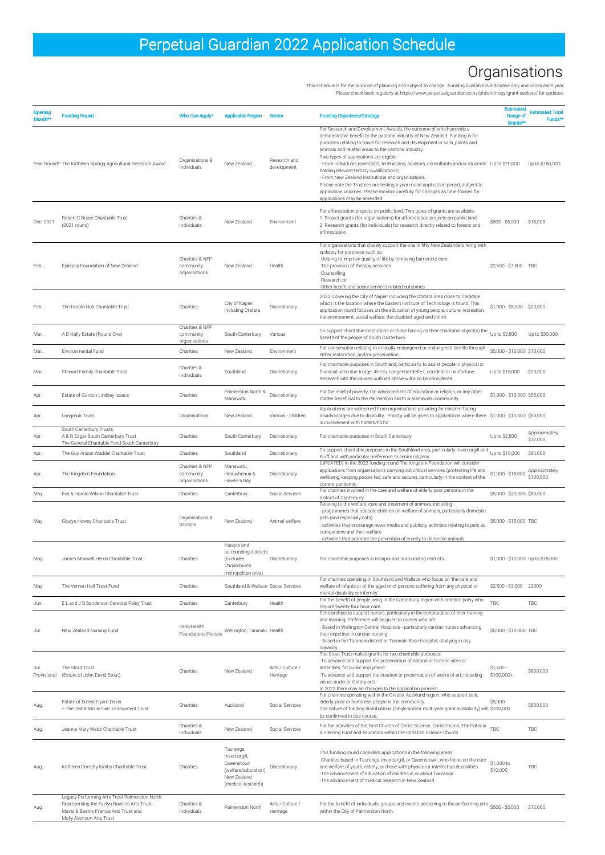| Opening<br>Month**  | <b>Funding Round</b>                                                                                                                                                 | Who Can Apply?                                | <b>Applicable Region</b>                                                                             | <b>Sector</b>                     | <b>Funding Objectives/Strategy</b>                                                                                                                                                                                                                                                                                                                                                                                                                                                                                                                                                                                                                                                                                                                 | <b>Estimated</b><br>Range of<br>Grants**              | <b>Estimated Total</b><br>Funds** |
|---------------------|----------------------------------------------------------------------------------------------------------------------------------------------------------------------|-----------------------------------------------|------------------------------------------------------------------------------------------------------|-----------------------------------|----------------------------------------------------------------------------------------------------------------------------------------------------------------------------------------------------------------------------------------------------------------------------------------------------------------------------------------------------------------------------------------------------------------------------------------------------------------------------------------------------------------------------------------------------------------------------------------------------------------------------------------------------------------------------------------------------------------------------------------------------|-------------------------------------------------------|-----------------------------------|
|                     | Year Round* The Kathleen Spragg Agricultural Research Award                                                                                                          | Organisations &<br>Individuals                | New Zealand                                                                                          | Research and<br>development       | For Research and Development Awards, the outcome of which provide a<br>demonstrable benefit to the pastoral industry of New Zealand. Funding is for<br>purposes relating to travel for research and development in soils, plants and<br>animals and related areas to the pastoral industry.<br>Two types of applications are eligible:<br>- From individuals (scientists, technicians, advisors, consultants and/or students Up to \$20,000<br>holding relevant tertiary qualifications)<br>- From New Zealand institutions and organisations.<br>Please note the Trustees are testing a year round application period, subject to<br>application volumes. Please monitor carefully for changes as time-frames for<br>applications may be amended. |                                                       | Up to \$150,000                   |
| Dec. 2021           | Robert C Bruce Charitable Trust<br>(2021 round)                                                                                                                      | Charities &<br>Individuals                    | New Zealand                                                                                          | Environment                       | For afforestation projects on public land. Two types of grants are available:<br>1. Project grants (for organisations) for afforestation projects on public land.<br>2. Research grants (for individuals) for research directly related to forests and<br>afforestation.                                                                                                                                                                                                                                                                                                                                                                                                                                                                           | \$500 - \$5,000                                       | \$15,000                          |
| Feb.                | Epilepsy Foundation of New Zealand                                                                                                                                   | Charities & NFP<br>community<br>organisations | New Zealand                                                                                          | Health                            | For organisations that closely support the one in fifty New Zealanders living with<br>epilepsy for purposes such as:<br>-Helping to improve quality of life by removing barriers to care<br>-The provision of therapy sessions<br>-Counselling<br>-Research, or<br>-Other health and social services related outcomes<br>2022: Covering the City of Napier including the Otatara area close to Taradale                                                                                                                                                                                                                                                                                                                                            | \$2,500 - \$7,500 TBC                                 |                                   |
| Feb.                | The Harold Holt Charitable Trust                                                                                                                                     | Charities                                     | City of Napier<br>including Otatara                                                                  | Discretionary                     | which is the location where the Eastern Institute of Technology is found. This<br>application round focuses on the education of young people, culture, recreation,<br>the environment, social welfare, the disabled, aged and infirm.                                                                                                                                                                                                                                                                                                                                                                                                                                                                                                              | \$1,000 - \$5,000 \$20,000                            |                                   |
| Mar.                | A D Hally Estate (Round One)                                                                                                                                         | Charities & NFP<br>community<br>organisations | South Canterbury                                                                                     | Various                           | To support charitable institutions or those having as their charitable object(s) the<br>benefit of the people of South Canterbury.                                                                                                                                                                                                                                                                                                                                                                                                                                                                                                                                                                                                                 | Up to \$2,500                                         | Up to \$30,000                    |
| Mar.                | Environmental Fund                                                                                                                                                   | Charities                                     | New Zealand                                                                                          | Environment                       | For conservation relating to critically endangered or endangered birdlife through<br>either restoration, and/or preservation.                                                                                                                                                                                                                                                                                                                                                                                                                                                                                                                                                                                                                      | \$5,000 - \$10,000 \$10,000                           |                                   |
| Mar.                | Stewart Family Charitable Trust                                                                                                                                      | Charities &<br>Individuals                    | Southland                                                                                            | Discretionary                     | For charitable purposes in Southland, particularly to assist people in physical or<br>financial need due to age, illness, congenital defect, accident or misfortune.<br>Research into the causes outlined above will also be considered.                                                                                                                                                                                                                                                                                                                                                                                                                                                                                                           | Up to \$15,000                                        | \$70,000                          |
| Apr.                | Estate of Gordon Lindsey Isaacs                                                                                                                                      | Charities                                     | Palmerston North &<br>Manawatu                                                                       | Discretionary                     | For the relief of poverty, the advancement of education or religion, or any other<br>matter beneficial to the Palmerston North & Manawatu community.                                                                                                                                                                                                                                                                                                                                                                                                                                                                                                                                                                                               | \$1,000 - \$10,000 \$55,000                           |                                   |
| Apr.                | Longmuir Trust                                                                                                                                                       | Organisations                                 | New Zealand                                                                                          | Various - children                | Applications are welcomed from organisations providing for children facing<br>disadvantages due to disability. Priority will be given to applications where there \$1,000 - \$10,000 \$50,000<br>is involvement with horses/hōiho                                                                                                                                                                                                                                                                                                                                                                                                                                                                                                                  |                                                       |                                   |
| Apr.                | South Canterbury Trusts:<br>A & R Edgar South Canterbury Trust<br>The General Charitable Fund South Canterbury                                                       | Charities                                     | South Canterbury                                                                                     | Discretionary                     | For charitable purposes in South Canterbury                                                                                                                                                                                                                                                                                                                                                                                                                                                                                                                                                                                                                                                                                                        | Up to \$2,500                                         | Approximately<br>\$37,000         |
| Apr.                | The Guy Anson Waddel Charitable Trust                                                                                                                                | Charities                                     | Southland                                                                                            | Discretionary                     | To support charitable purposes in the Southland area, particularly Invercargill and<br>Bluff and with particular preference to senior citizens                                                                                                                                                                                                                                                                                                                                                                                                                                                                                                                                                                                                     | Up to \$10,000                                        | \$85,000                          |
| Apr.                | The Kingdom Foundation                                                                                                                                               | Charities & NFP<br>community<br>organisations | Manawatu,<br>Horowhenua &<br>Hawke's Bay                                                             | Discretionary                     | (UPDATED) In the 2022 funding round The Kingdom Foundation will consider<br>applications from organisations carrying out critical services (protecting life and<br>wellbeing; keeping people fed, safe and secure), particularly in the context of the<br>current pandemic.                                                                                                                                                                                                                                                                                                                                                                                                                                                                        | \$1,000 - \$15,000                                    | Approximately<br>\$100,000        |
| May<br>May          | Eva & Harold Wilson Charitable Trust<br>Gladys Howey Charitable Trust                                                                                                | Charities<br>Organisations &<br>Schools       | Canterbury<br>New Zealand                                                                            | Social Services<br>Animal welfare | For charities involved in the care and welfare of elderly poor persons in the<br>district of Canterbury<br>Relating to the welfare, care and treatment of animals, including:<br>- programmes that educate children on welfare of animals, particularly domestic<br>pets (and especially cats)<br>- activities that encourage news media and publicity activities relating to pets as<br>companions and their welfare                                                                                                                                                                                                                                                                                                                              | \$5,000 - \$20,000 \$80,000<br>\$5,000 - \$15,000 TBC |                                   |
| May                 | James Maxwell Heron Charitable Trust                                                                                                                                 | Charities                                     | Kaiapoi and<br>surrounding districts<br>(excludes<br>Christchurch<br>metropolitan area)              | Discretionary                     | - activities that promote the prevention of cruelty to domestic animals.<br>For charitable purposes in Kaiapoi and surrounding districts.                                                                                                                                                                                                                                                                                                                                                                                                                                                                                                                                                                                                          | \$1,000 - \$10,000 Up to \$15,000                     |                                   |
| May                 | The Vernon Hall Trust Fund                                                                                                                                           | Charities                                     | Southland & Wallace Social Services                                                                  |                                   | For charities operating in Southland and Wallace who focus on 'the care and<br>welfare of infants or of the aged or of persons suffering from any physical or<br>mental disability or infirmity'                                                                                                                                                                                                                                                                                                                                                                                                                                                                                                                                                   | \$2,500 - \$3,000 23000                               |                                   |
| Jun.                | E L and J B Sanderson Cerebral Palsy Trust                                                                                                                           | Charities                                     | Canterbury                                                                                           | Health                            | For the benefit of people living in the Canterbury region with cerebral palsy who<br>require twenty-four hour care.                                                                                                                                                                                                                                                                                                                                                                                                                                                                                                                                                                                                                                | TBC                                                   | TBC                               |
| Jul.                | New Zealand Nursing Fund                                                                                                                                             | DHB/Health<br>Foundations/Nurses              | Wellington, Taranaki Health                                                                          |                                   | Scholarships to support nurses, particularly in the continuation of their training<br>and learning. Preference will be given to nurses who are:<br>- Based in Wellington Central Hospitals - particularly cardiac nurses advancing<br>their expertise in cardiac nursing<br>- Based in the Taranaki district or Taranaki Base Hospital, studying in any<br>capacity                                                                                                                                                                                                                                                                                                                                                                                | \$5,000 - \$10,000 TBC                                |                                   |
| Jul.<br>Provisional | The Stout Trust<br>(Estate of John David Stout)                                                                                                                      | Charities                                     | New Zealand                                                                                          | Arts / Culture /<br>Heritage      | The Stout Trust makes grants for two charitable purposes:<br>-To advance and support the preservation of natural or historic sites or<br>amenities, for public enjoyment<br>-To advance and support the creation or preservation of works of art, including<br>visual, audio or literary arts<br>In 2022 there may be changes to the application process.                                                                                                                                                                                                                                                                                                                                                                                          | $$1,500 -$<br>$$100,000+$                             | \$800,000                         |
| Aug.                | Estate of Ernest Hyam Davis<br>+ The Ted & Mollie Carr Endowment Trust                                                                                               | Charities                                     | Auckland                                                                                             | Social Services                   | For charities operating within the Greater Auckland region, who support sick,<br>elderly, poor or homeless people in the community.<br>The nature of funding distributions (single and/or multi year grant availability) will \$100,000<br>be confirmed in due course.                                                                                                                                                                                                                                                                                                                                                                                                                                                                             | $$5,000 -$                                            | \$800,000                         |
| Aug.                | Jeanne Mary Webb Charitable Trust                                                                                                                                    | Charities &<br>Individuals                    | New Zealand                                                                                          | Social Services                   | For the activities of the First Church of Christ Science, Christchurch, The Patricia<br>A Fleming Fund and education within the Christian Science Church                                                                                                                                                                                                                                                                                                                                                                                                                                                                                                                                                                                           | <b>TBC</b>                                            | TBC                               |
| Aug.                | Kathleen Dorothy Kirkby Charitable Trust                                                                                                                             | Charities                                     | Tauranga,<br>Invercargill,<br>Queenstown<br>(welfare/education)<br>New Zealand<br>(medical research) | Discretionary                     | This funding round considers applications in the following areas:<br>-Charities based in Tauranga, Invercargill, or Queenstown, who focus on the care<br>and welfare of youth, elderly, or those with physical or intellectual disabilities.<br>-The advancement of education of children in or about Tauranga.<br>-The advancement of medical research in New Zealand.                                                                                                                                                                                                                                                                                                                                                                            | \$1,000 to<br>\$10,000                                | TBC                               |
| Aug.                | Legacy Performing Arts Trust Palmerston North:<br>Representing the Evelyn Rawlins Arts Trust,<br>Mavis & Beatrix Francis Arts Trust and<br>Molly Atkinson Arts Trust | Charities &<br>Individuals                    | Palmerston North                                                                                     | Arts / Culture /<br>Heritage      | For the benefit of individuals, groups and events pertaining to the performing arts<br>within the City of Palmerston North.                                                                                                                                                                                                                                                                                                                                                                                                                                                                                                                                                                                                                        | $$500 - $5,000$                                       | \$12,000                          |

This schedule is for the purpose of planning and subject to change. Funding available is indicative only and varies each year. Please check back regularly at https://www.perpetualguardian.co.nz/philanthropy/grant-seekers/ for updates.

## Organisations